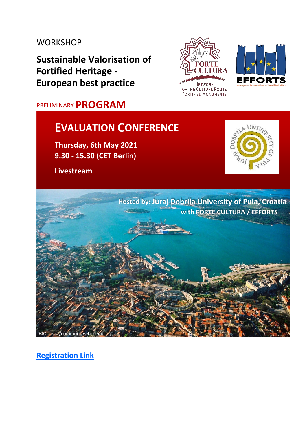## **WORKSHOP**

**Sustainable Valorisation of Fortified Heritage - European best practice** 

# PRELIMINARY **PROGRAM**

# **EVALUATION CONFERENCE**

**Thursday, 6th May 2021 9.30 - 15.30 (CET Berlin)** 

**Livestream** 







**Hosted by: Juraj Dobrila University of Pula, Croatia with FORTE CULTURA / EFFORTS** 

**[Registration Link](https://bit.ly/3a7LYqT)**

©Orlovic /commons.wikimedia.org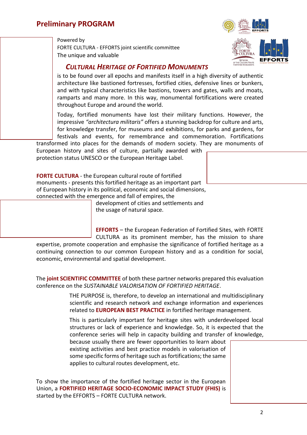Powered by FORTE CULTURA - EFFORTS joint scientific committee The unique and valuable



### *CULTURAL HERITAGE OF FORTIFIED MONUMENTS*

is to be found over all epochs and manifests itself in a high diversity of authentic architecture like bastioned fortresses, fortified cities, defensive lines or bunkers, and with typical characteristics like bastions, towers and gates, walls and moats, ramparts and many more. In this way, monumental fortifications were created throughout Europe and around the world.

Today, fortified monuments have lost their military functions. However, the impressive *"architectura militaris"* offers a stunning backdrop for culture and arts, for knowledge transfer, for museums and exhibitions, for parks and gardens, for festivals and events, for remembrance and commemoration. Fortifications

transformed into places for the demands of modern society. They are monuments of European history and sites of culture, partially awarded with protection status UNESCO or the European Heritage Label.

**FORTE CULTURA** - the European cultural route of fortified monuments - presents this fortified heritage as an important part of European history in its political, economic and social dimensions, connected with the emergence and fall of empires, the

development of cities and settlements and the usage of natural space.

**EFFORTS** – the European Federation of Fortified Sites, with FORTE CULTURA as its prominent member, has the mission to share

expertise, promote cooperation and emphasise the significance of fortified heritage as a continuing connection to our common European history and as a condition for social, economic, environmental and spatial development.

The **joint SCIENTIFIC COMMITTEE** of both these partner networks prepared this evaluation conference on the *SUSTAINABLE VALORISATION OF FORTIFIED HERITAGE*.

> THE PURPOSE is, therefore, to develop an international and multidisciplinary scientific and research network and exchange information and experiences related to **EUROPEAN BEST PRACTICE** in fortified heritage management.

> This is particularly important for heritage sites with underdeveloped local structures or lack of experience and knowledge. So, it is expected that the conference series will help in capacity building and transfer of knowledge,

because usually there are fewer opportunities to learn about existing activities and best practice models in valorisation of some specific forms of heritage such as fortifications; the same applies to cultural routes development, etc.

To show the importance of the fortified heritage sector in the European Union, a **FORTIFIED HERITAGE SOCIO-ECONOMIC IMPACT STUDY (FHIS)** is started by the EFFORTS – FORTE CULTURA network.

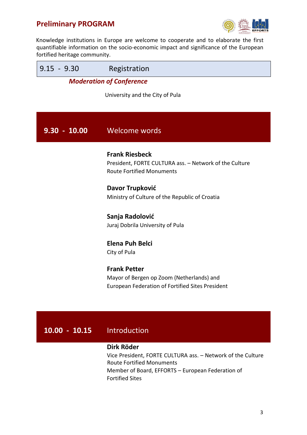Г



÷,

Knowledge institutions in Europe are welcome to cooperate and to elaborate the first quantifiable information on the socio-economic impact and significance of the European fortified heritage community.

| $9.15 - 9.30$                   | Registration                                                                                                        |
|---------------------------------|---------------------------------------------------------------------------------------------------------------------|
| <b>Moderation of Conference</b> |                                                                                                                     |
|                                 | University and the City of Pula                                                                                     |
|                                 |                                                                                                                     |
| $9.30 - 10.00$                  | Welcome words                                                                                                       |
|                                 | <b>Frank Riesbeck</b><br>President, FORTE CULTURA ass. - Network of the Culture<br><b>Route Fortified Monuments</b> |
|                                 | Davor Trupković<br>Ministry of Culture of the Republic of Croatia                                                   |
|                                 | Sanja Radolović<br>Juraj Dobrila University of Pula                                                                 |
|                                 | <b>Elena Puh Belci</b><br>City of Pula                                                                              |

**Frank Petter**  Mayor of Bergen op Zoom (Netherlands) and European Federation of Fortified Sites President

### **10.00 - 10.15** Introduction

#### **Dirk Röder**

Vice President, FORTE CULTURA ass. – Network of the Culture Route Fortified Monuments Member of Board, EFFORTS – European Federation of Fortified Sites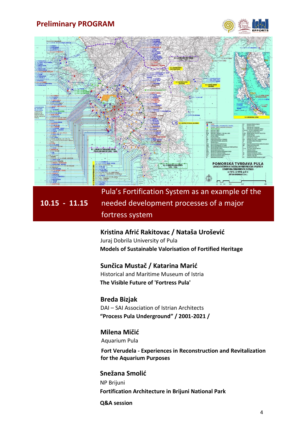



**10.15 - 11.15**  Pula's Fortification System as an example of the needed development processes of a major fortress system

#### **Kristina Afrić Rakitovac / Nataša Urošević**

Juraj Dobrila University of Pula **Models of Sustainable Valorisation of Fortified Heritage** 

#### **Sunčica Mustač / Katarina Marić**

Historical and Maritime Museum of Istria **The Visible Future of 'Fortress Pula'** 

**Breda Bizjak** DAI – SAI Association of Istrian Architects **"Process Pula Underground" / 2001-2021 /**

#### **Milena Mičić**

Aquarium Pula

 **Fort Verudela - Experiences in Reconstruction and Revitalization for the Aquarium Purposes**

**Snežana Smolić** NP Brijuni **Fortification Architecture in Brijuni National Park**

#### **Q&A session**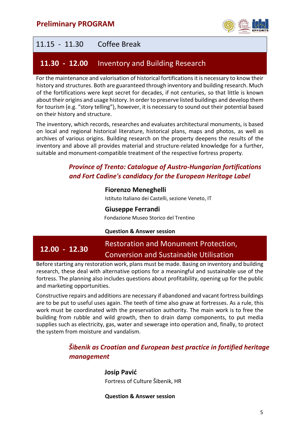

# 11.15 - 11.30 Coffee Break

# **11.30 - 12.00** Inventory and Building Research

For the maintenance and valorisation of historical fortifications it is necessary to know their history and structures. Both are guaranteed through inventory and building research. Much of the fortifications were kept secret for decades, if not centuries, so that little is known about their origins and usage history. In order to preserve listed buildings and develop them for tourism (e.g. "story telling"), however, it is necessary to sound out their potential based on their history and structure.

The inventory, which records, researches and evaluates architectural monuments, is based on local and regional historical literature, historical plans, maps and photos, as well as archives of various origins. Building research on the property deepens the results of the inventory and above all provides material and structure-related knowledge for a further, suitable and monument-compatible treatment of the respective fortress property.

### *Province of Trento: Catalogue of Austro-Hungarian fortifications and Fort Cadine's candidacy for the European Heritage Label*

#### **Fiorenzo Meneghelli**

Istituto Italiano dei Castelli, sezione Veneto, IT

#### **Giuseppe Ferrandi**

Fondazione Museo Storico del Trentino

#### **Question & Answer session**

#### **12.00 - 12.30**  Restoration and Monument Protection, Conversion and Sustainable Utilisation

Before starting any restoration work, plans must be made. Basing on inventory and building research, these deal with alternative options for a meaningful and sustainable use of the fortress. The planning also includes questions about profitability, opening up for the public and marketing opportunities.

Constructive repairs and additions are necessary if abandoned and vacant fortress buildings are to be put to useful uses again. The teeth of time also gnaw at fortresses. As a rule, this work must be coordinated with the preservation authority. The main work is to free the building from rubble and wild growth, then to drain damp components, to put media supplies such as electricity, gas, water and sewerage into operation and, finally, to protect the system from moisture and vandalism.

### *Šibenik as Croatian and European best practice in fortified heritage management*

**Josip Pavić**  Fortress of Culture Šibenik, HR

**Question & Answer session**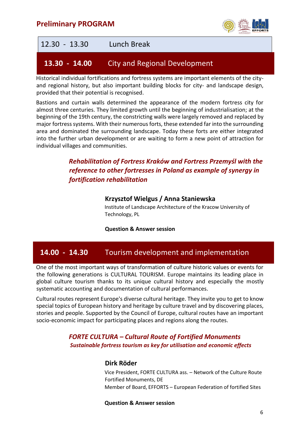



Historical individual fortifications and fortress systems are important elements of the cityand regional history, but also important building blocks for city- and landscape design, provided that their potential is recognised.

Bastions and curtain walls determined the appearance of the modern fortress city for almost three centuries. They limited growth until the beginning of industrialisation; at the beginning of the 19th century, the constricting walls were largely removed and replaced by major fortress systems. With their numerous forts, these extended far into the surrounding area and dominated the surrounding landscape. Today these forts are either integrated into the further urban development or are waiting to form a new point of attraction for individual villages and communities.

### *Rehabilitation of Fortress Kraków and Fortress Przemyśl with the reference to other fortresses in Poland as example of synergy in fortification rehabilitation*

#### **Krzysztof Wielgus / Anna Staniewska**

Institute of Landscape Architecture of the Kracow University of Technology, PL

#### **Question & Answer session**

### **14.00 - 14.30** Tourism development and implementation

One of the most important ways of transformation of culture historic values or events for the following generations is CULTURAL TOURISM. Europe maintains its leading place in global culture tourism thanks to its unique cultural history and especially the mostly systematic accounting and documentation of cultural performances.

Cultural routes represent Europe's diverse cultural heritage. They invite you to get to know special topics of European history and heritage by culture travel and by discovering places, stories and people. Supported by the Council of Europe, cultural routes have an important socio-economic impact for participating places and regions along the routes.

#### *FORTE CULTURA – Cultural Route of Fortified Monuments Sustainable fortress tourism as key for utilisation and economic effects*

#### **Dirk Röder**

Vice President, FORTE CULTURA ass. – Network of the Culture Route Fortified Monuments, DE Member of Board, EFFORTS – European Federation of fortified Sites

#### **Question & Answer session**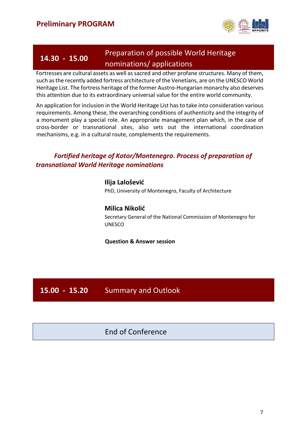

# **14.30 - 15.00**

# Preparation of possible World Heritage nominations/ applications

Fortresses are cultural assets as well as sacred and other profane structures. Many of them, such as the recently added fortress architecture of the Venetians, are on the UNESCO World Heritage List. The fortress heritage of the former Austro-Hungarian monarchy also deserves this attention due to its extraordinary universal value for the entire world community.

An application for inclusion in the World Heritage List has to take into consideration various requirements. Among these, the overarching conditions of authenticity and the integrity of a monument play a special role. An appropriate management plan which, in the case of cross-border or transnational sites, also sets out the international coordination mechanisms, e.g. in a cultural route, complements the requirements.

### *Fortified heritage of Kotor/Montenegro. Process of preparation of transnational World Heritage nominations*

**Ilija Lalošević**  PhD, University of Montenegro, Faculty of Architecture

### **Milica Nikolić**

Secretary General of the National Commission of Montenegro for UNESCO

#### **Question & Answer session**

### **15.00 - 15.20** Summary and Outlook

### End of Conference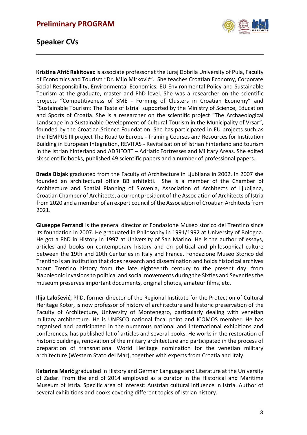

### **Speaker CVs**

**Kristina Afrić Rakitovac** is associate professor at the Juraj Dobrila University of Pula, Faculty of Economics and Tourism "Dr. Mijo Mirković". She teaches Croatian Economy, Corporate Social Responsibility, Environmental Economics, EU Environmental Policy and Sustainable Tourism at the graduate, master and PhD level. She was a researcher on the scientific projects "Competitiveness of SME - Forming of Clusters in Croatian Economy" and "Sustainable Tourism: The Taste of Istria" supported by the Ministry of Science, Education and Sports of Croatia. She is a researcher on the scientific project "The Archaeological Landscape in a Sustainable Development of Cultural Tourism in the Municipality of Vrsar", founded by the Croatian Science Foundation. She has participated in EU projects such as the TEMPUS III project The Road to Europe - Training Courses and Resources for Institution Building in European Integration, REVITAS - Revitalisation of Istrian hinterland and tourism in the Istrian hinterland and ADRIFORT – Adriatic Fortresses and Military Areas. She edited six scientific books, published 49 scientific papers and a number of professional papers.

**Breda Bizjak** graduated from the Faculty of Architecture in Ljubljana in 2002. In 2007 she founded an architectural office BB arhitekti. She is a member of the Chamber of Architecture and Spatial Planning of Slovenia, Association of Architects of Ljubljana, Croatian Chamber of Architects, a current president of the Association of Architects of Istria from 2020 and a member of an expert council of the Association of Croatian Architects from 2021.

**Giuseppe Ferrandi** is the general director of Fondazione Museo storico del Trentino since its foundation in 2007. He graduated in Philosophy in 1991/1992 at University of Bologna. He got a PhD in History in 1997 at University of San Marino. He is the author of essays, articles and books on contemporary history and on political and philosophical culture between the 19th and 20th Centuries in Italy and France. Fondazione Museo Storico del Trentino is an institution that does research and dissemination and holds historical archives about Trentino history from the late eighteenth century to the present day: from Napoleonic invasions to political and social movements during the Sixties and Seventies the museum preserves important documents, original photos, amateur films, etc.

**Ilija Lalošević,** PhD, former director of the Regional Institute for the Protection of Cultural Heritage Kotor, is now professor of history of architecture and historic preservation of the Faculty of Architecture, University of Montenegro, particularly dealing with venetian military architecture. He is UNESCO national focal point and ICOMOS member. He has organised and participated in the numerous national and international exhibitions and conferences, has published lot of articles and several books. He works in the restoration of historic buildings, renovation of the military architecture and participated in the process of preparation of transnational World Heritage nomination for the venetian military architecture (Western Stato del Mar), together with experts from Croatia and Italy.

**Katarina Marić** graduated in History and German Language and Literature at the University of Zadar. From the end of 2014 employed as a curator in the Historical and Maritime Museum of Istria. Specific area of interest: Austrian cultural influence in Istria. Author of several exhibitions and books covering different topics of Istrian history.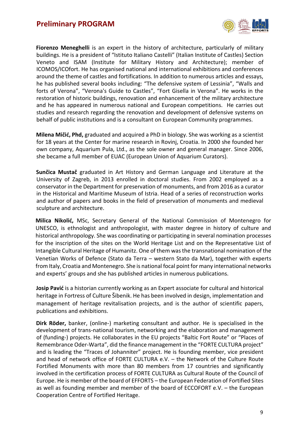

**Fiorenzo Meneghelli** is an expert in the history of architecture, particularly of military buildings. He is a president of "Istituto Italiano Castelli" (Italian Institute of Castles) Section Veneto and ISAM (Institute for Military History and Architecture); member of ICOMOS/ICOfort. He has organised national and international exhibitions and conferences around the theme of castles and fortifications. In addition to numerous articles and essays, he has published several books including: "The defensive system of Lessinia", "Walls and forts of Verona", "Verona's Guide to Castles", "Fort Gisella in Verona". He works in the restoration of historic buildings, renovation and enhancement of the military architecture and he has appeared in numerous national and European competitions. He carries out studies and research regarding the renovation and development of defensive systems on behalf of public institutions and is a consultant on European Community programmes.

**Milena Mičić, Phd,** graduated and acquired a PhD in biology. She was working as a scientist for 18 years at the Center for marine research in Rovinj, Croatia. In 2000 she founded her own company, Aquarium Pula, Ltd., as the sole owner and general manager. Since 2006, she became a full member of EUAC (European Union of Aquarium Curators).

**Sunčica Mustač** graduated in Art History and German Language and Literature at the University of Zagreb, in 2013 enrolled in doctoral studies. From 2002 employed as a conservator in the Department for preservation of monuments, and from 2016 as a curator in the Historical and Maritime Museum of Istria. Head of a series of reconstruction works and author of papers and books in the field of preservation of monuments and medieval sculpture and architecture.

**Milica Nikolić,** MSc, Secretary General of the National Commission of Montenegro for UNESCO, is ethnologist and anthropologist, with master degree in history of culture and historical anthropology. She was coordinating or participating in several nomination processes for the inscription of the sites on the World Heritage List and on the Representative List of Intangible Cultural Heritage of Humanitz. One of them was the transnational nomination of the Venetian Works of Defence (Stato da Terra – western Stato da Mar), together with experts from Italy, Croatia and Montenegro. She is national focal point for many international networks and experts' groups and she has published articles in numerous publications.

**Josip Pavić** is a historian currently working as an Expert associate for cultural and historical heritage in Fortress of Culture Šibenik. He has been involved in design, implementation and management of heritage revitalisation projects, and is the author of scientific papers, publications and exhibitions.

**Dirk Röder,** banker, (online-) marketing consultant and author. He is specialised in the development of trans-national tourism, networking and the elaboration and management of (funding-) projects. He collaborates in the EU projects "Baltic Fort Route" or "Places of Remembrance Oder-Warta", did the finance management in the "FORTE CULTURA project" and is leading the "Traces of Johanniter" project. He is founding member, vice president and head of network office of FORTE CULTURA e.V. – the Network of the Culture Route Fortified Monuments with more than 80 members from 17 countries and significantly involved in the certification process of FORTE CULTURA as Cultural Route of the Council of Europe. He is member of the board of EFFORTS – the European Federation of Fortified Sites as well as founding member and member of the board of ECCOFORT e.V. – the European Cooperation Centre of Fortified Heritage.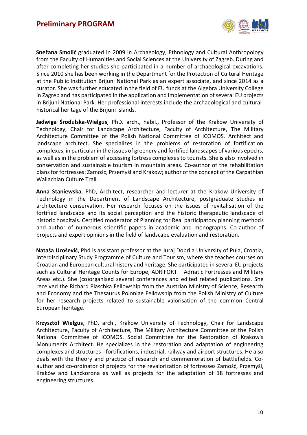

**Snežana Smolić** graduated in 2009 in Archaeology, Ethnology and Cultural Anthropology from the Faculty of Humanities and Social Sciences at the University of Zagreb. During and after completing her studies she participated in a number of archaeological excavations. Since 2010 she has been working in the Department for the Protection of Cultural Heritage at the Public Institution Brijuni National Park as an expert associate, and since 2014 as a curator. She was further educated in the field of EU funds at the Algebra University College in Zagreb and has participated in the application and implementation of several EU projects in Brijuni National Park. Her professional interests include the archaeological and culturalhistorical heritage of the Brijuni Islands.

**Jadwiga Środulska-Wielgus**, PhD. arch., habil., Professor of the Krakow University of Technology, Chair for Landscape Architecture, Faculty of Architecture, The Military Architecture Committee of the Polish National Committee of ICOMOS. Architect and landscape architect. She specializes in the problems of restoration of fortification complexes, in particular in the issues of greenery and fortified landscapes of various epochs, as well as in the problem of accessing fortress complexes to tourists. She is also involved in conservation and sustainable tourism in mountain areas. Co-author of the rehabilitation plans for fortresses: Zamość, Przemyśl and Kraków; author of the concept of the Carpathian Wallachian Culture Trail.

**Anna Staniewska**, PhD, Architect, researcher and lecturer at the Krakow University of Technology in the Department of Landscape Architecture, postgraduate studies in architecture conservation. Her research focuses on the issues of revitalisation of the fortified landscape and its social perception and the historic therapeutic landscape of historic hospitals. Certified moderator of Planning for Real participatory planning methods and author of numerous scientific papers in academic and monographs. Co-author of projects and expert opinions in the field of landscape evaluation and restoration.

**Nataša Urošević**, Phd is assistant professor at the Juraj Dobrila University of Pula, Croatia, Interdisciplinary Study Programme of Culture and Tourism, where she teaches courses on Croatian and European cultural history and heritage. She participated in several EU projects such as Cultural Heritage Counts for Europe, ADRIFORT – Adriatic Fortresses and Military Areas etc.). She (co)organised several conferences and edited related publications. She received the Richard Plaschka Fellowship from the Austrian Ministry of Science, Research and Economy and the Thesaurus Poloniae Fellowship from the Polish Ministry of Culture for her research projects related to sustainable valorisation of the common Central European heritage.

**Krzysztof Wielgus**, PhD. arch., Krakow University of Technology, Chair for Landscape Architecture, Faculty of Architecture, The Military Architecture Committee of the Polish National Committee of ICOMOS. Social Committee for the Restoration of Krakow's Monuments Architect. He specializes in the restoration and adaptation of engineering complexes and structures - fortifications, industrial, railway and airport structures. He also deals with the theory and practice of research and commemoration of battlefields. Coauthor and co-ordinator of projects for the revalorization of fortresses Zamość, Przemyśl, Kraków and Lanckorona as well as projects for the adaptation of 18 fortresses and engineering structures.